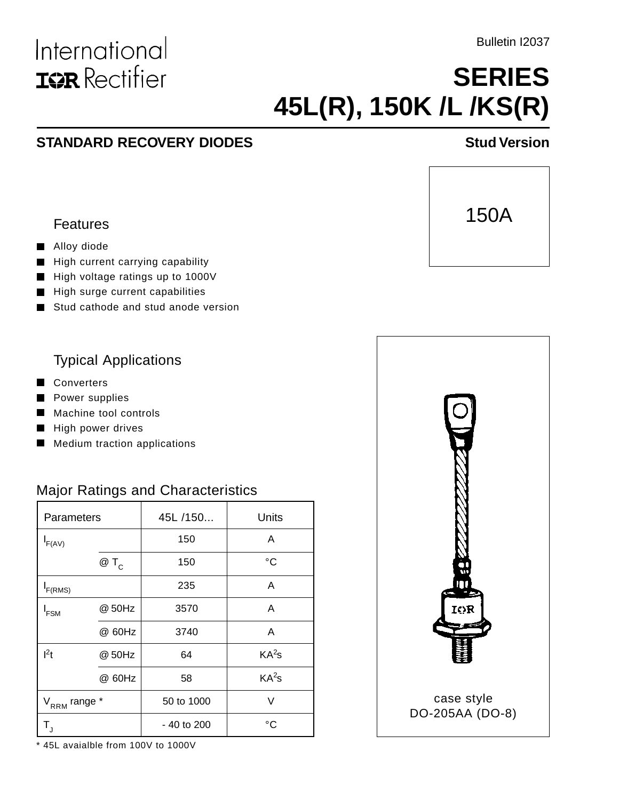Bulletin I2037

# **SERIES 45L(R), 150K /L /KS(R)**

### **STANDARD RECOVERY DIODES** STANDARD RECOVERY DIODES



#### Features

International

**ISR** Rectifier

#### Alloy diode

- High current carrying capability  $\blacksquare$
- High voltage ratings up to 1000V
- High surge current capabilities П
- Stud cathode and stud anode version

#### Typical Applications

- Converters
- **Power supplies**
- Machine tool controls
- High power drives
- **Medium traction applications**

#### Major Ratings and Characteristics

| Parameters               |        | 45L /150    | Units             |  |
|--------------------------|--------|-------------|-------------------|--|
| $I_{F(AV)}$              |        | 150         | A                 |  |
|                          | $@T_c$ | 150         | °C                |  |
| $I_{F(RMS)}$             |        | 235         | A                 |  |
| I <sub>FSM</sub>         | @ 50Hz | 3570        | A                 |  |
|                          | @ 60Hz | 3740        | A                 |  |
| $I^2t$                   | @ 50Hz | 64          | KA <sup>2</sup> s |  |
|                          | @ 60Hz | 58          | KA <sup>2</sup> s |  |
| V <sub>RRM</sub> range * |        | 50 to 1000  | V                 |  |
| $T_{\text{J}}$           |        | - 40 to 200 | °۲                |  |

\* 45L avaialble from 100V to 1000V

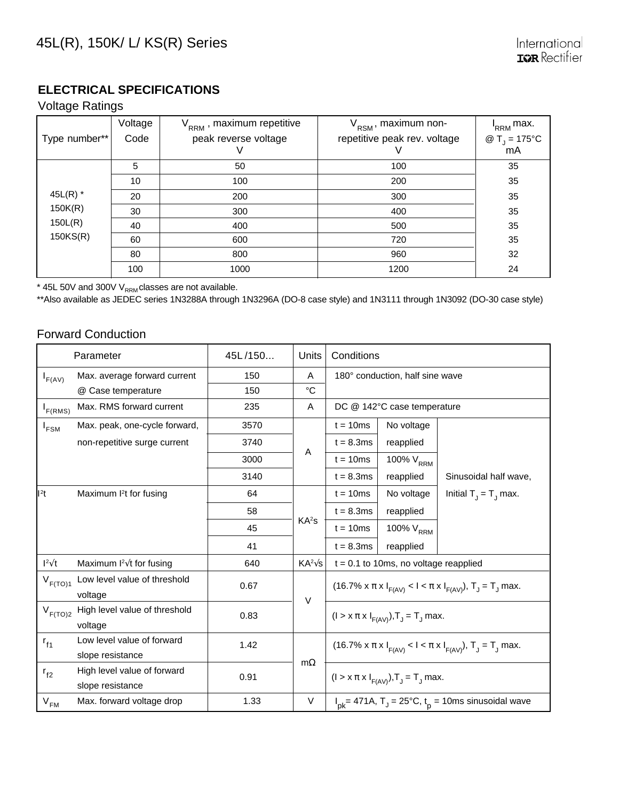#### **ELECTRICAL SPECIFICATIONS**

#### Voltage Ratings

|                     | Voltage | $V_{RRM}$ , maximum repetitive | V <sub>RSM</sub> , maximum non- | I <sub>RRM</sub> max.        |
|---------------------|---------|--------------------------------|---------------------------------|------------------------------|
| Type number**       | Code    | peak reverse voltage           | repetitive peak rev. voltage    | @ $T_{\rm j} = 175^{\circ}C$ |
|                     |         |                                |                                 | mA                           |
|                     | 5       | 50                             | 100                             | 35                           |
| 45 $L(R)$ *         | 10      | 100                            | 200                             | 35                           |
|                     | 20      | 200                            | 300                             | 35                           |
| 150K(R)             | 30      | 300                            | 400                             | 35                           |
| 150L(R)<br>150KS(R) | 40      | 400                            | 500                             | 35                           |
|                     | 60      | 600                            | 720                             | 35                           |
|                     | 80      | 800                            | 960                             | 32                           |
|                     | 100     | 1000                           | 1200                            | 24                           |

 $*$  45L 50V and 300V V $_{\rm RRM}$ classes are not available.

\*\*Also available as JEDEC series 1N3288A through 1N3296A (DO-8 case style) and 1N3111 through 1N3092 (DO-30 case style)

#### Forward Conduction

| Parameter        |                                                 | 45L/150 | Units             | Conditions                                                                                  |                       |                          |  |
|------------------|-------------------------------------------------|---------|-------------------|---------------------------------------------------------------------------------------------|-----------------------|--------------------------|--|
| $I_{F(AV)}$      | Max. average forward current                    | 150     | A                 | 180° conduction, half sine wave                                                             |                       |                          |  |
|                  | @ Case temperature                              | 150     | °C                |                                                                                             |                       |                          |  |
| $I_{F(RMS)}$     | Max. RMS forward current                        | 235     | A                 | DC @ 142°C case temperature                                                                 |                       |                          |  |
| I <sub>FSM</sub> | Max. peak, one-cycle forward,                   | 3570    |                   | $t = 10ms$                                                                                  | No voltage            |                          |  |
|                  | non-repetitive surge current                    | 3740    |                   | $t = 8.3ms$                                                                                 | reapplied             |                          |  |
|                  |                                                 | 3000    | A                 | $t = 10ms$                                                                                  | 100% V <sub>RRM</sub> |                          |  |
|                  |                                                 | 3140    |                   | $t = 8.3ms$                                                                                 | reapplied             | Sinusoidal half wave,    |  |
| $l2$ t           | Maximum I <sup>2</sup> t for fusing             | 64      |                   | $t = 10ms$                                                                                  | No voltage            | Initial $T_1 = T_1$ max. |  |
|                  |                                                 | 58      |                   | $t = 8.3ms$                                                                                 | reapplied             |                          |  |
|                  |                                                 | 45      | KA <sup>2</sup> S | $t = 10ms$                                                                                  | 100% V <sub>RRM</sub> |                          |  |
|                  |                                                 | 41      |                   | $t = 8.3ms$                                                                                 | reapplied             |                          |  |
| $1^2\sqrt{t}$    | Maximum $I^2\sqrt{t}$ for fusing                | 640     | $KA^2\sqrt{s}$    | $t = 0.1$ to 10ms, no voltage reapplied                                                     |                       |                          |  |
| $V_{F(TO)1}$     | Low level value of threshold<br>voltage         | 0.67    | $\vee$            | (16.7% $\times \pi \times I_{F(A \vee)} < I < \pi \times I_{F(A \vee)}$ ), $T_J = T_J$ max. |                       |                          |  |
| $V_{F(TO)2}$     | High level value of threshold<br>voltage        | 0.83    |                   | $(1 > x \pi x I_{F(AV)}), T_J = T_J$ max.                                                   |                       |                          |  |
| $r_{f1}$         | Low level value of forward<br>slope resistance  | 1.42    | $m\Omega$         | (16.7% $x \pi x I_{F(AV)} < I < \pi x I_{F(AV)}$ ), $T_J = T_J$ max.                        |                       |                          |  |
| $r_{f2}$         | High level value of forward<br>slope resistance | 0.91    |                   | $(I > x \pi x I_{F(AV)}), T_J = T_J$ max.                                                   |                       |                          |  |
| $V_{FM}$         | Max. forward voltage drop                       | 1.33    | $\vee$            | $I_{pk}$ = 471A, T <sub>J</sub> = 25°C, t <sub>p</sub> = 10ms sinusoidal wave               |                       |                          |  |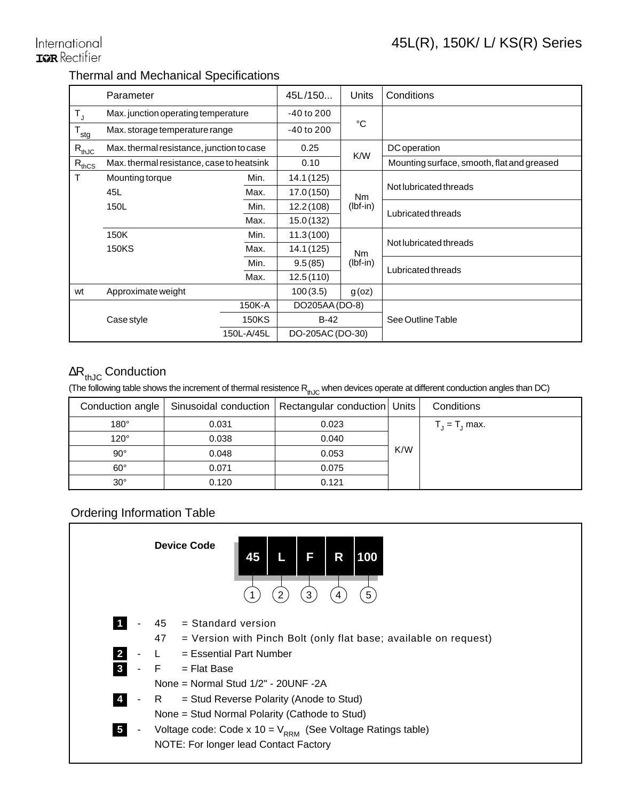#### International **IGR** Rectifier

#### Thermal and Mechanical Specifications

|                  | Parameter                                 |              | 45L/150          | Units          | Conditions                                 |  |
|------------------|-------------------------------------------|--------------|------------------|----------------|--------------------------------------------|--|
| $T_{\rm J}$      | Max. junction operating temperature       |              | $-40$ to $200$   | °C             |                                            |  |
| $T_{\text{stg}}$ | Max. storage temperature range            |              | $-40$ to $200$   |                |                                            |  |
| $R_{thJC}$       | Max. thermal resistance, junction to case |              | 0.25             | K/W            | DC operation                               |  |
| $R_{thCS}$       | Max. thermal resistance, case to heatsink |              | 0.10             |                | Mounting surface, smooth, flat and greased |  |
| т                | Mounting torque                           | Min.         | 14.1 (125)       |                |                                            |  |
|                  | 45L                                       | Max.         | 17.0(150)        | N <sub>m</sub> | Not lubricated threads                     |  |
|                  | 150L                                      | Min.         | 12.2(108)        | $(lbf-in)$     | Lubricated threads                         |  |
|                  |                                           | Max.         | 15.0(132)        |                |                                            |  |
|                  | 150K                                      | Min.         | 11.3(100)        |                |                                            |  |
|                  | <b>150KS</b>                              | Max.         | 14.1 (125)       | N <sub>m</sub> | Not lubricated threads                     |  |
|                  |                                           | Min.         | 9.5(85)          | $(lbf-in)$     | Lubricated threads                         |  |
|                  |                                           | Max.         | 12.5(110)        |                |                                            |  |
| wt               | Approximate weight                        |              | 100(3.5)         | g(oz)          |                                            |  |
|                  |                                           | 150K-A       | DO205AA (DO-8)   |                | See Outline Table                          |  |
|                  | Case style                                | <b>150KS</b> | $B-42$           |                |                                            |  |
|                  |                                           | 150L-A/45L   | DO-205AC (DO-30) |                |                                            |  |

#### ∆R<sub>thJC</sub> Conduction

(The following table shows the increment of thermal resistence  $R_{th,IC}$  when devices operate at different conduction angles than DC)

|              |       | Conduction angle   Sinusoidal conduction   Rectangular conduction   Units |     | Conditions       |
|--------------|-------|---------------------------------------------------------------------------|-----|------------------|
| $180^\circ$  | 0.031 | 0.023                                                                     |     | $T_1 = T_1$ max. |
| $120^\circ$  | 0.038 | 0.040                                                                     |     |                  |
| $90^\circ$   | 0.048 | 0.053                                                                     | K/W |                  |
| $60^\circ$   | 0.071 | 0.075                                                                     |     |                  |
| $30^{\circ}$ | 0.120 | 0.121                                                                     |     |                  |

#### Ordering Information Table

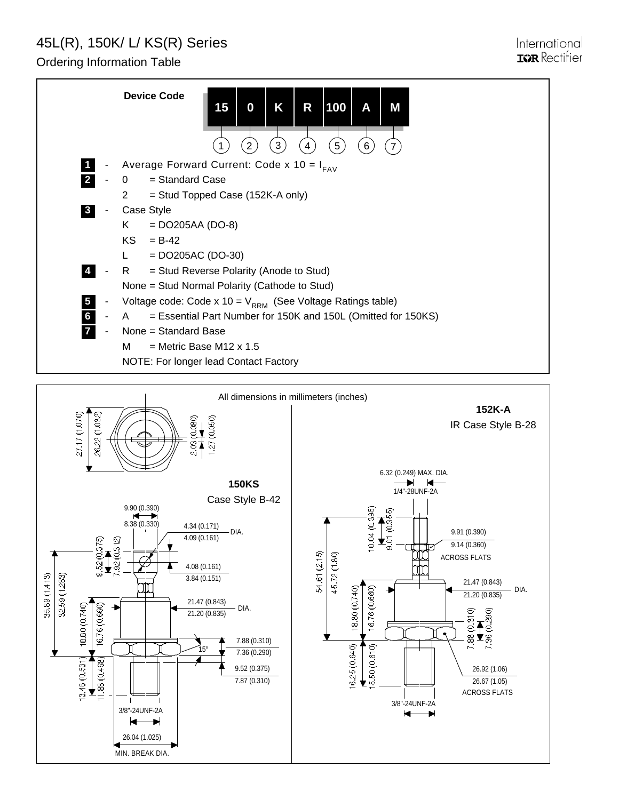## 45L(R), 150K/ L/ KS(R) Series

26.04 (1.025) MIN. BREAK DIA.

Ordering Information Table

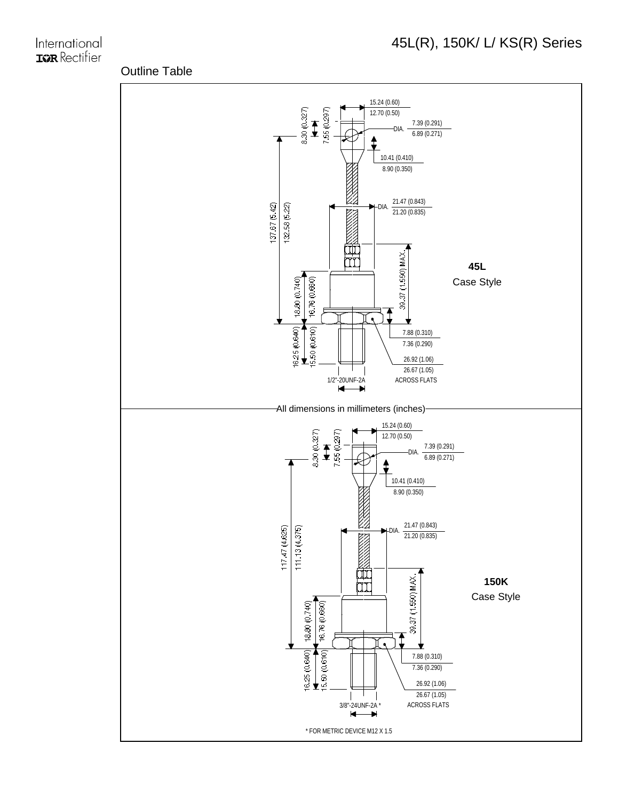#### International **IGR** Rectifier

#### Outline Table

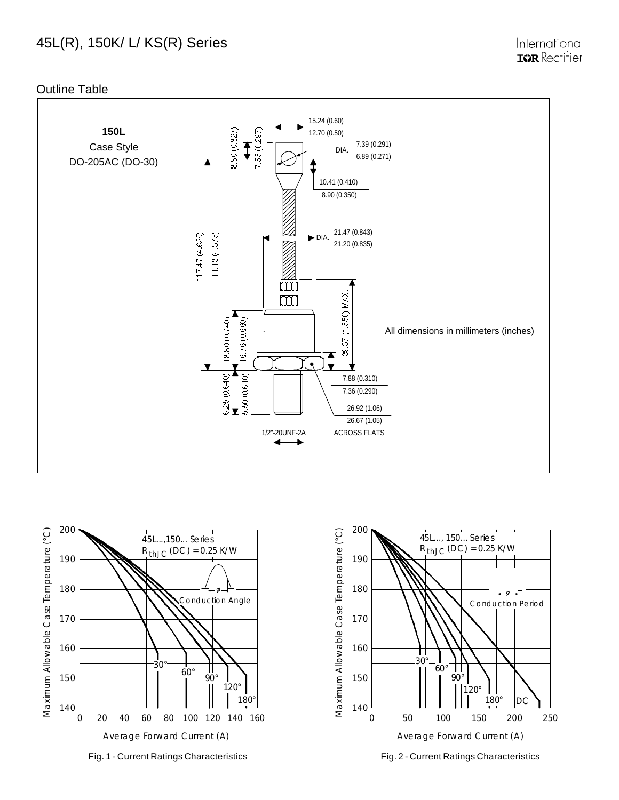#### 45L(R), 150K/ L/ KS(R) Series

Internationa **IGR** Rectifier

Outline Table







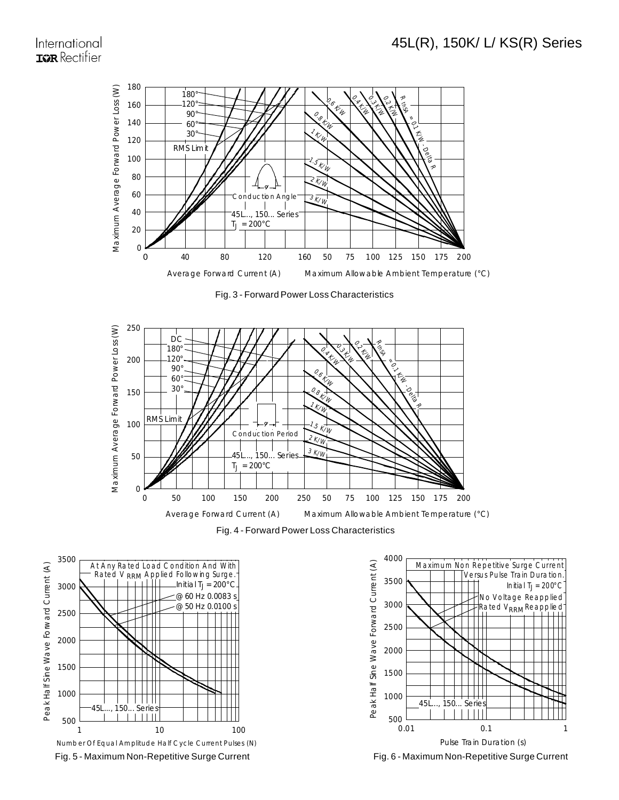#### International **IGR** Rectifier



Fig. 3 - Forward Power Loss Characteristics











Fig. 6 - Maximum Non-Repetitive Surge Current